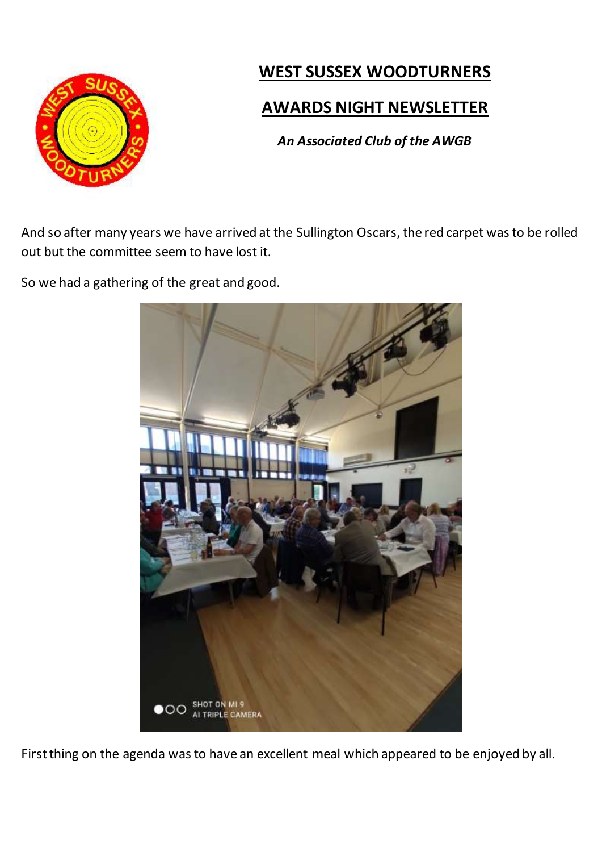

## **WEST SUSSEX WOODTURNERS**

## **AWARDS NIGHT NEWSLETTER**

*An Associated Club of the AWGB*

And so after many years we have arrived at the Sullington Oscars, the red carpet was to be rolled out but the committee seem to have lost it.

So we had a gathering of the great and good.



First thing on the agenda was to have an excellent meal which appeared to be enjoyed by all.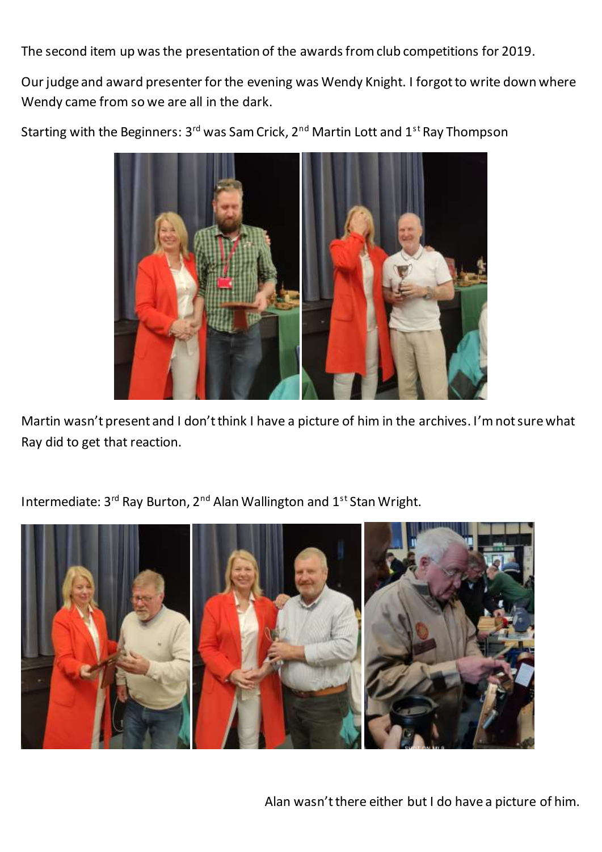The second item up was the presentation of the awards from club competitions for 2019.

Our judge and award presenter for the evening was Wendy Knight. I forgot to write down where Wendy came from so we are all in the dark.

Starting with the Beginners: 3<sup>rd</sup> was Sam Crick, 2<sup>nd</sup> Martin Lott and 1<sup>st</sup> Ray Thompson



Martin wasn't present and I don't think I have a picture of him in the archives. I'm not sure what Ray did to get that reaction.

Intermediate: 3<sup>rd</sup> Ray Burton, 2<sup>nd</sup> Alan Wallington and 1<sup>st</sup> Stan Wright.



Alan wasn't there either but I do have a picture of him.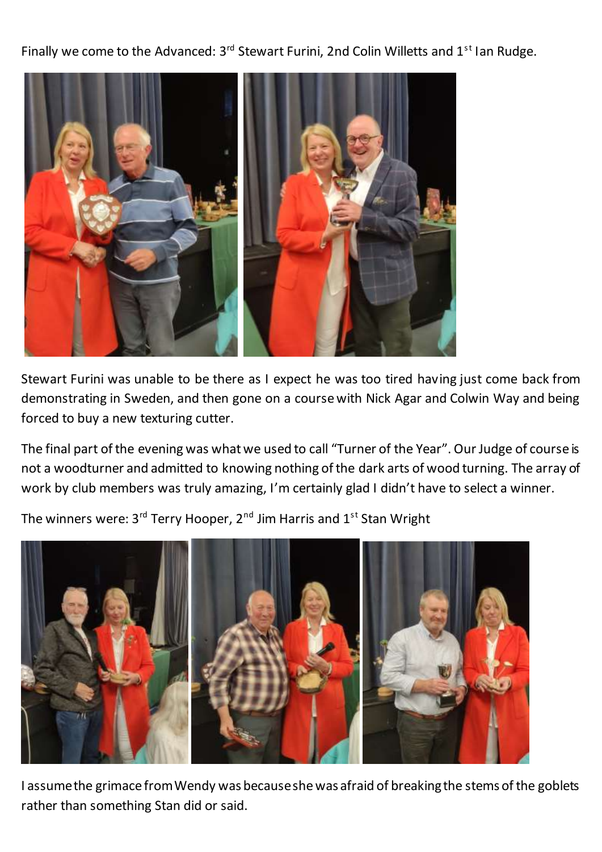Finally we come to the Advanced: 3<sup>rd</sup> Stewart Furini, 2nd Colin Willetts and 1<sup>st</sup> Ian Rudge.



Stewart Furini was unable to be there as I expect he was too tired having just come back from demonstrating in Sweden, and then gone on a course with Nick Agar and Colwin Way and being forced to buy a new texturing cutter.

The final part of the evening was what we used to call "Turner of the Year". Our Judge of course is not a woodturner and admitted to knowing nothing of the dark arts of wood turning. The array of work by club members was truly amazing, I'm certainly glad I didn't have to select a winner.

The winners were:  $3^{rd}$  Terry Hooper,  $2^{nd}$  Jim Harris and  $1^{st}$  Stan Wright



I assume the grimace from Wendy was because she was afraid of breaking the stems of the goblets rather than something Stan did or said.